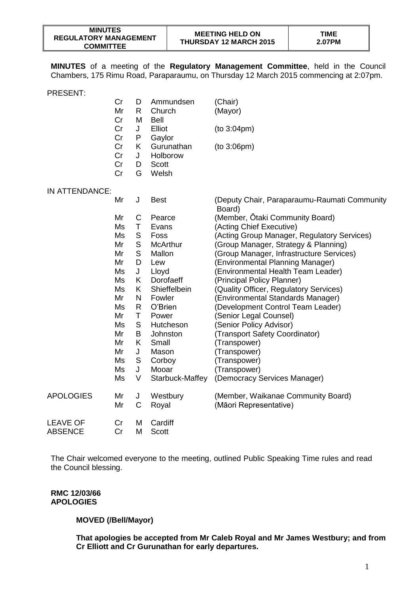**MINUTES** of a meeting of the **Regulatory Management Committee**, held in the Council Chambers, 175 Rimu Road, Paraparaumu, on Thursday 12 March 2015 commencing at 2:07pm.

|                  | Cr<br>Mr<br>Cr       | D<br>R.<br>M     | Ammundsen<br>Church<br><b>Bell</b>              | (Chair)<br>(Mayor)                                     |
|------------------|----------------------|------------------|-------------------------------------------------|--------------------------------------------------------|
|                  | Cr<br>Cr             | J<br>P           | Elliot<br>Gaylor                                | (to 3:04pm)                                            |
|                  | Cr<br>Cr<br>Cr<br>Cr | K<br>J<br>D<br>G | Gurunathan<br>Holborow<br><b>Scott</b><br>Welsh | (to 3:06pm)                                            |
| IN ATTENDANCE:   |                      |                  |                                                 |                                                        |
|                  | Mr                   | J                | <b>Best</b>                                     | (Deputy Chair, Paraparaumu-Raumati Community<br>Board) |
|                  | Mr                   | $\mathsf C$      | Pearce                                          | (Member, Otaki Community Board)                        |
|                  | Ms                   | Τ                | Evans                                           | (Acting Chief Executive)                               |
|                  | Ms                   | S                | Foss                                            | (Acting Group Manager, Regulatory Services)            |
|                  | Mr                   | S                | <b>McArthur</b>                                 | (Group Manager, Strategy & Planning)                   |
|                  | Mr                   | S                | Mallon                                          | (Group Manager, Infrastructure Services)               |
|                  | Mr                   | D                | Lew                                             | (Environmental Planning Manager)                       |
|                  | Ms                   | J                | Lloyd                                           | (Environmental Health Team Leader)                     |
|                  | Ms                   | K                | Dorofaeff                                       | (Principal Policy Planner)                             |
|                  | Ms                   | K.               | Shieffelbein                                    | (Quality Officer, Regulatory Services)                 |
|                  | Mr                   | N                | Fowler                                          | (Environmental Standards Manager)                      |
|                  | Ms                   | R                | O'Brien                                         | (Development Control Team Leader)                      |
|                  | Mr                   | Τ                | Power                                           | (Senior Legal Counsel)                                 |
|                  | Ms                   | S                | Hutcheson                                       | (Senior Policy Advisor)                                |
|                  | Mr                   | B                | Johnston                                        | (Transport Safety Coordinator)                         |
|                  | Mr                   | K                | Small                                           | (Transpower)                                           |
|                  | Mr                   | J                | Mason                                           | (Transpower)                                           |
|                  | Ms                   | S                | Corboy                                          | (Transpower)                                           |
|                  | Ms                   | J                | Mooar                                           | (Transpower)                                           |
|                  | Ms                   | V                | Starbuck-Maffey                                 | (Democracy Services Manager)                           |
| <b>APOLOGIES</b> | Mr                   | J                | Westbury                                        | (Member, Waikanae Community Board)                     |
|                  | Mr                   | $\mathsf C$      | Royal                                           | (Māori Representative)                                 |

| LEAVE OF |  | Cr M Cardiff |
|----------|--|--------------|
| ABSENCE  |  | Cr M Scott   |

The Chair welcomed everyone to the meeting, outlined Public Speaking Time rules and read the Council blessing.

**RMC 12/03/66 APOLOGIES**

## **MOVED (/Bell/Mayor)**

**That apologies be accepted from Mr Caleb Royal and Mr James Westbury; and from Cr Elliott and Cr Gurunathan for early departures.**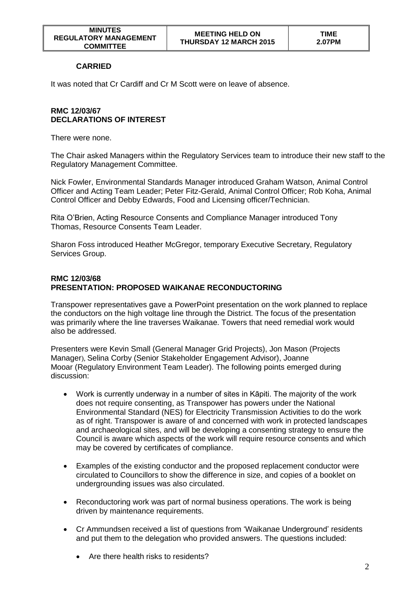## **CARRIED**

It was noted that Cr Cardiff and Cr M Scott were on leave of absence.

## **RMC 12/03/67 DECLARATIONS OF INTEREST**

There were none.

The Chair asked Managers within the Regulatory Services team to introduce their new staff to the Regulatory Management Committee.

Nick Fowler, Environmental Standards Manager introduced Graham Watson, Animal Control Officer and Acting Team Leader; Peter Fitz-Gerald, Animal Control Officer; Rob Koha, Animal Control Officer and Debby Edwards, Food and Licensing officer/Technician.

Rita O'Brien, Acting Resource Consents and Compliance Manager introduced Tony Thomas, Resource Consents Team Leader.

Sharon Foss introduced Heather McGregor, temporary Executive Secretary, Regulatory Services Group.

### **RMC 12/03/68 PRESENTATION: PROPOSED WAIKANAE RECONDUCTORING**

Transpower representatives gave a PowerPoint presentation on the work planned to replace the conductors on the high voltage line through the District. The focus of the presentation was primarily where the line traverses Waikanae. Towers that need remedial work would also be addressed.

Presenters were Kevin Small (General Manager Grid Projects), Jon Mason (Projects Manager), Selina Corby (Senior Stakeholder Engagement Advisor), Joanne Mooar (Regulatory Environment Team Leader). The following points emerged during discussion:

- Work is currently underway in a number of sites in Kāpiti. The majority of the work does not require consenting, as Transpower has powers under the National Environmental Standard (NES) for Electricity Transmission Activities to do the work as of right. Transpower is aware of and concerned with work in protected landscapes and archaeological sites, and will be developing a consenting strategy to ensure the Council is aware which aspects of the work will require resource consents and which may be covered by certificates of compliance.
- Examples of the existing conductor and the proposed replacement conductor were circulated to Councillors to show the difference in size, and copies of a booklet on undergrounding issues was also circulated.
- Reconductoring work was part of normal business operations. The work is being driven by maintenance requirements.
- Cr Ammundsen received a list of questions from 'Waikanae Underground' residents and put them to the delegation who provided answers. The questions included:
	- Are there health risks to residents?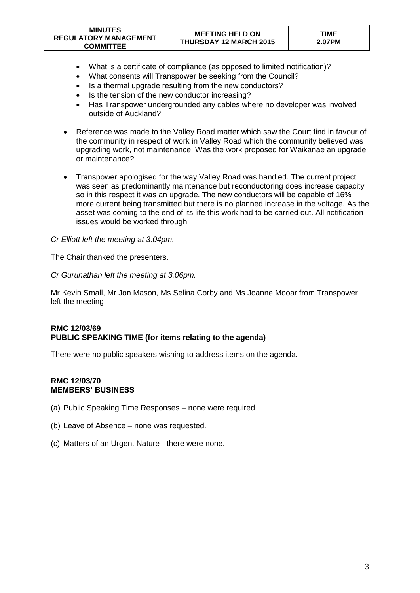| <b>MINUTES</b><br><b>REGULATORY MANAGEMENT</b><br><b>COMMITTEE</b> | <b>MEETING HELD ON</b><br><b>THURSDAY 12 MARCH 2015</b> | <b>TIME</b><br>2.07PM |
|--------------------------------------------------------------------|---------------------------------------------------------|-----------------------|
|--------------------------------------------------------------------|---------------------------------------------------------|-----------------------|

- What is a certificate of compliance (as opposed to limited notification)?
- What consents will Transpower be seeking from the Council?
- Is a thermal upgrade resulting from the new conductors?
- Is the tension of the new conductor increasing?
- Has Transpower undergrounded any cables where no developer was involved outside of Auckland?
- Reference was made to the Valley Road matter which saw the Court find in favour of the community in respect of work in Valley Road which the community believed was upgrading work, not maintenance. Was the work proposed for Waikanae an upgrade or maintenance?
- Transpower apologised for the way Valley Road was handled. The current project was seen as predominantly maintenance but reconductoring does increase capacity so in this respect it was an upgrade. The new conductors will be capable of 16% more current being transmitted but there is no planned increase in the voltage. As the asset was coming to the end of its life this work had to be carried out. All notification issues would be worked through.

### *Cr Elliott left the meeting at 3.04pm.*

The Chair thanked the presenters.

#### *Cr Gurunathan left the meeting at 3.06pm.*

Mr Kevin Small, Mr Jon Mason, Ms Selina Corby and Ms Joanne Mooar from Transpower left the meeting.

## **RMC 12/03/69 PUBLIC SPEAKING TIME (for items relating to the agenda)**

There were no public speakers wishing to address items on the agenda.

### **RMC 12/03/70 MEMBERS' BUSINESS**

- (a) Public Speaking Time Responses none were required
- (b) Leave of Absence none was requested.
- (c) Matters of an Urgent Nature there were none.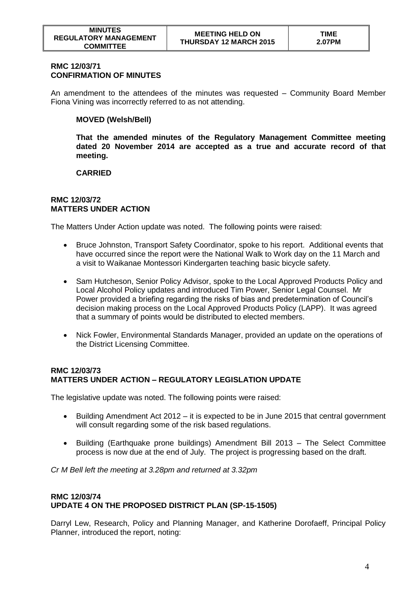### **RMC 12/03/71 CONFIRMATION OF MINUTES**

An amendment to the attendees of the minutes was requested – Community Board Member Fiona Vining was incorrectly referred to as not attending.

## **MOVED (Welsh/Bell)**

**That the amended minutes of the Regulatory Management Committee meeting dated 20 November 2014 are accepted as a true and accurate record of that meeting.** 

## **CARRIED**

#### **RMC 12/03/72 MATTERS UNDER ACTION**

The Matters Under Action update was noted. The following points were raised:

- Bruce Johnston, Transport Safety Coordinator, spoke to his report. Additional events that have occurred since the report were the National Walk to Work day on the 11 March and a visit to Waikanae Montessori Kindergarten teaching basic bicycle safety.
- Sam Hutcheson, Senior Policy Advisor, spoke to the Local Approved Products Policy and Local Alcohol Policy updates and introduced Tim Power, Senior Legal Counsel. Mr Power provided a briefing regarding the risks of bias and predetermination of Council's decision making process on the Local Approved Products Policy (LAPP). It was agreed that a summary of points would be distributed to elected members.
- Nick Fowler, Environmental Standards Manager, provided an update on the operations of the District Licensing Committee.

## **RMC 12/03/73 MATTERS UNDER ACTION – REGULATORY LEGISLATION UPDATE**

The legislative update was noted. The following points were raised:

- Building Amendment Act 2012 it is expected to be in June 2015 that central government will consult regarding some of the risk based regulations.
- Building (Earthquake prone buildings) Amendment Bill 2013 The Select Committee process is now due at the end of July. The project is progressing based on the draft.

*Cr M Bell left the meeting at 3.28pm and returned at 3.32pm*

#### **RMC 12/03/74 UPDATE 4 ON THE PROPOSED DISTRICT PLAN (SP-15-1505)**

Darryl Lew, Research, Policy and Planning Manager, and Katherine Dorofaeff, Principal Policy Planner, introduced the report, noting: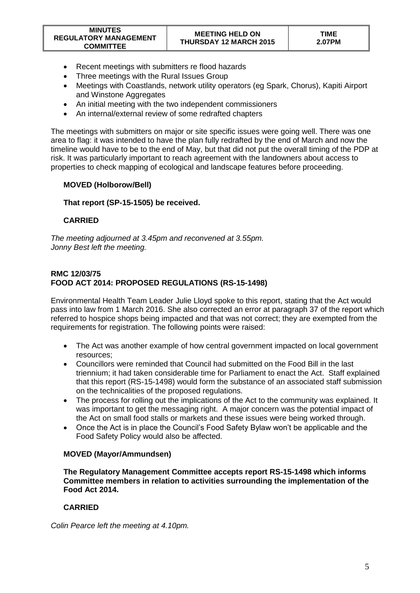- Recent meetings with submitters re flood hazards
- Three meetings with the Rural Issues Group
- Meetings with Coastlands, network utility operators (eg Spark, Chorus), Kapiti Airport and Winstone Aggregates
- An initial meeting with the two independent commissioners
- An internal/external review of some redrafted chapters

The meetings with submitters on major or site specific issues were going well. There was one area to flag: it was intended to have the plan fully redrafted by the end of March and now the timeline would have to be to the end of May, but that did not put the overall timing of the PDP at risk. It was particularly important to reach agreement with the landowners about access to properties to check mapping of ecological and landscape features before proceeding.

## **MOVED (Holborow/Bell)**

## **That report (SP-15-1505) be received.**

## **CARRIED**

*The meeting adjourned at 3.45pm and reconvened at 3.55pm. Jonny Best left the meeting.*

## **RMC 12/03/75 FOOD ACT 2014: PROPOSED REGULATIONS (RS-15-1498)**

Environmental Health Team Leader Julie Lloyd spoke to this report, stating that the Act would pass into law from 1 March 2016. She also corrected an error at paragraph 37 of the report which referred to hospice shops being impacted and that was not correct; they are exempted from the requirements for registration. The following points were raised:

- The Act was another example of how central government impacted on local government resources;
- Councillors were reminded that Council had submitted on the Food Bill in the last triennium; it had taken considerable time for Parliament to enact the Act. Staff explained that this report (RS-15-1498) would form the substance of an associated staff submission on the technicalities of the proposed regulations.
- The process for rolling out the implications of the Act to the community was explained. It was important to get the messaging right. A major concern was the potential impact of the Act on small food stalls or markets and these issues were being worked through.
- Once the Act is in place the Council's Food Safety Bylaw won't be applicable and the Food Safety Policy would also be affected.

## **MOVED (Mayor/Ammundsen)**

**The Regulatory Management Committee accepts report RS-15-1498 which informs Committee members in relation to activities surrounding the implementation of the Food Act 2014.**

# **CARRIED**

*Colin Pearce left the meeting at 4.10pm.*